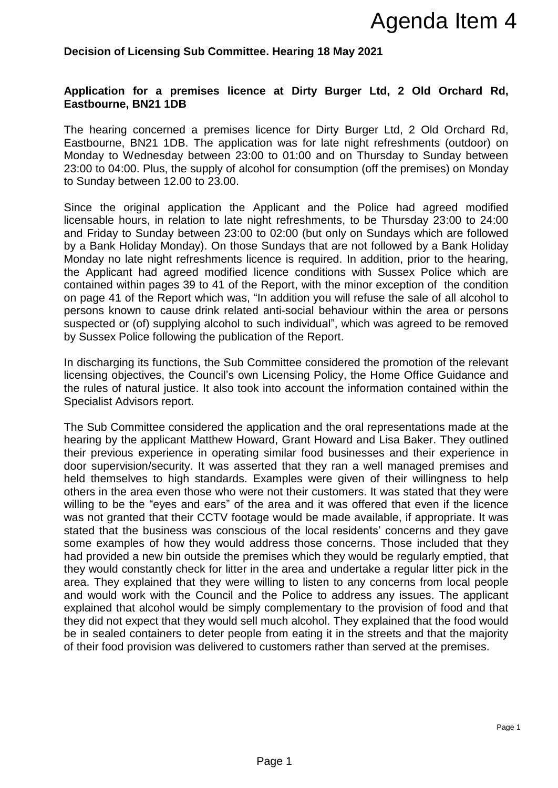## **Decision of Licensing Sub Committee. Hearing 18 May 2021**

## **Application for a premises licence at Dirty Burger Ltd, 2 Old Orchard Rd, Eastbourne, BN21 1DB**

The hearing concerned a premises licence for Dirty Burger Ltd, 2 Old Orchard Rd, Eastbourne, BN21 1DB. The application was for late night refreshments (outdoor) on Monday to Wednesday between 23:00 to 01:00 and on Thursday to Sunday between 23:00 to 04:00. Plus, the supply of alcohol for consumption (off the premises) on Monday to Sunday between 12.00 to 23.00.

Since the original application the Applicant and the Police had agreed modified licensable hours, in relation to late night refreshments, to be Thursday 23:00 to 24:00 and Friday to Sunday between 23:00 to 02:00 (but only on Sundays which are followed by a Bank Holiday Monday). On those Sundays that are not followed by a Bank Holiday Monday no late night refreshments licence is required. In addition, prior to the hearing, the Applicant had agreed modified licence conditions with Sussex Police which are contained within pages 39 to 41 of the Report, with the minor exception of the condition on page 41 of the Report which was, "In addition you will refuse the sale of all alcohol to persons known to cause drink related anti-social behaviour within the area or persons suspected or (of) supplying alcohol to such individual", which was agreed to be removed by Sussex Police following the publication of the Report.

In discharging its functions, the Sub Committee considered the promotion of the relevant licensing objectives, the Council's own Licensing Policy, the Home Office Guidance and the rules of natural justice. It also took into account the information contained within the Specialist Advisors report.

The Sub Committee considered the application and the oral representations made at the hearing by the applicant Matthew Howard, Grant Howard and Lisa Baker. They outlined their previous experience in operating similar food businesses and their experience in door supervision/security. It was asserted that they ran a well managed premises and held themselves to high standards. Examples were given of their willingness to help others in the area even those who were not their customers. It was stated that they were willing to be the "eyes and ears" of the area and it was offered that even if the licence was not granted that their CCTV footage would be made available, if appropriate. It was stated that the business was conscious of the local residents' concerns and they gave some examples of how they would address those concerns. Those included that they had provided a new bin outside the premises which they would be regularly emptied, that they would constantly check for litter in the area and undertake a regular litter pick in the area. They explained that they were willing to listen to any concerns from local people and would work with the Council and the Police to address any issues. The applicant explained that alcohol would be simply complementary to the provision of food and that they did not expect that they would sell much alcohol. They explained that the food would be in sealed containers to deter people from eating it in the streets and that the majority of their food provision was delivered to customers rather than served at the premises. **Agenda Item 4**<br>**Agenda Item 4**<br>**Example 18 May 2021**<br>**Agenda Item 4**<br>**Example 1**<br>**Example 1**<br>**Example 1**<br>**Example 1**<br>**Example 1**<br>**Example 10**<br>
10 to 01:00 and on Thursday to Sunday between<br>
the forest<br>members of the remis